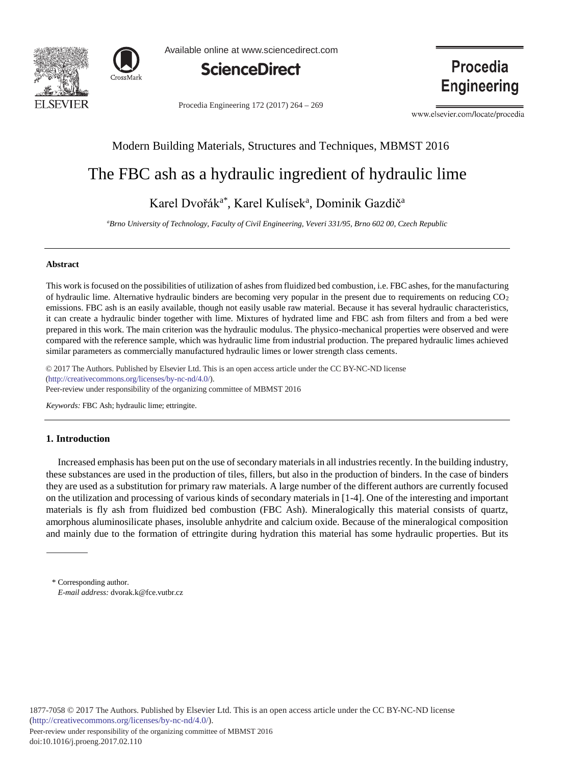



Available online at www.sciencedirect.com



Procedia Engineering 172 (2017) 264 - 269

Procedia **Engineering** 

www.elsevier.com/locate/procedia

### Modern Building Materials, Structures and Techniques, MBMST 2016

# The FBC ash as a hydraulic ingredient of hydraulic lime

## Karel Dvořák<sup>a\*</sup>, Karel Kulísek<sup>a</sup>, Dominik Gazdič<sup>a</sup>

*a Brno University of Technology, Faculty of Civil Engineering, Veveri 331/95, Brno 602 00, Czech Republic*

#### **Abstract**

This work is focused on the possibilities of utilization of ashes from fluidized bed combustion, i.e. FBC ashes, for the manufacturing of hydraulic lime. Alternative hydraulic binders are becoming very popular in the present due to requirements on reducing CO2 emissions. FBC ash is an easily available, though not easily usable raw material. Because it has several hydraulic characteristics, it can create a hydraulic binder together with lime. Mixtures of hydrated lime and FBC ash from filters and from a bed were prepared in this work. The main criterion was the hydraulic modulus. The physico-mechanical properties were observed and were compared with the reference sample, which was hydraulic lime from industrial production. The prepared hydraulic limes achieved similar parameters as commercially manufactured hydraulic limes or lower strength class cements.

 $\odot$  2017 The Authors. Published by Elsevier Ltd. This is an open access article under the CC BY-NC-ND license Peer-review under responsibility of the organizing committee of MBMST 2016. Peer-review under responsibility of the organizing committee of MBMST 2016(http://creativecommons.org/licenses/by-nc-nd/4.0/).

*Keywords:* FBC Ash; hydraulic lime; ettringite.

#### **1. Introduction**

Increased emphasis has been put on the use of secondary materials in all industries recently. In the building industry, these substances are used in the production of tiles, fillers, but also in the production of binders. In the case of binders they are used as a substitution for primary raw materials. A large number of the different authors are currently focused on the utilization and processing of various kinds of secondary materials in [1-4]. One of the interesting and important materials is fly ash from fluidized bed combustion (FBC Ash). Mineralogically this material consists of quartz, amorphous aluminosilicate phases, insoluble anhydrite and calcium oxide. Because of the mineralogical composition and mainly due to the formation of ettringite during hydration this material has some hydraulic properties. But its

<sup>\*</sup> Corresponding author. *E-mail address:* dvorak.k@fce.vutbr.cz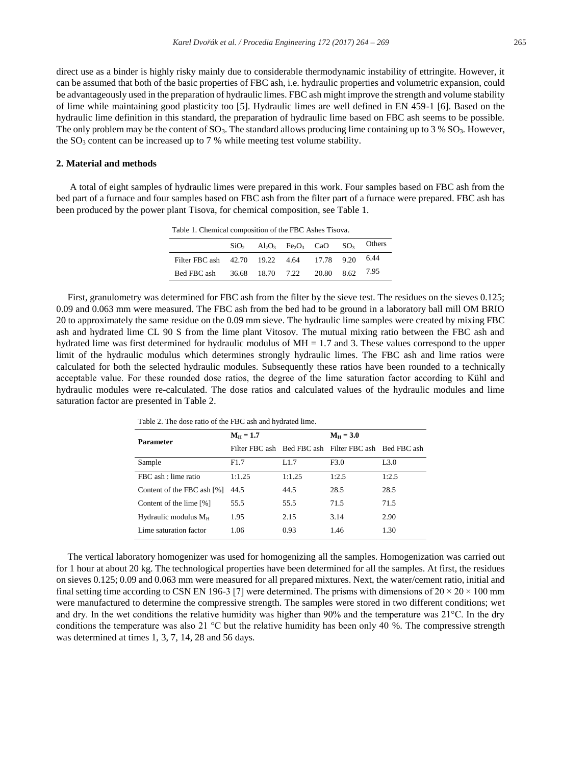direct use as a binder is highly risky mainly due to considerable thermodynamic instability of ettringite. However, it can be assumed that both of the basic properties of FBC ash, i.e. hydraulic properties and volumetric expansion, could be advantageously used in the preparation of hydraulic limes. FBC ash might improve the strength and volume stability of lime while maintaining good plasticity too [5]. Hydraulic limes are well defined in EN 459-1 [6]. Based on the hydraulic lime definition in this standard, the preparation of hydraulic lime based on FBC ash seems to be possible. The only problem may be the content of  $SO_3$ . The standard allows producing lime containing up to 3 %  $SO_3$ . However, the  $SO_3$  content can be increased up to 7 % while meeting test volume stability.

#### **2. Material and methods**

A total of eight samples of hydraulic limes were prepared in this work. Four samples based on FBC ash from the bed part of a furnace and four samples based on FBC ash from the filter part of a furnace were prepared. FBC ash has been produced by the power plant Tisova, for chemical composition, see Table 1.

Table 1. Chemical composition of the FBC Ashes Tisova.

|                                                 | SiO <sub>2</sub> | $Al_2O_3$ Fe <sub>2</sub> O <sub>3</sub> CaO SO <sub>3</sub> |  | Others |
|-------------------------------------------------|------------------|--------------------------------------------------------------|--|--------|
| Filter FBC ash 42.70 19.22 4.64 17.78 9.20 6.44 |                  |                                                              |  |        |
| Bed FBC ash                                     |                  | 36.68 18.70 7.22 20.80 8.62                                  |  | 7.95   |

First, granulometry was determined for FBC ash from the filter by the sieve test. The residues on the sieves 0.125; 0.09 and 0.063 mm were measured. The FBC ash from the bed had to be ground in a laboratory ball mill OM BRIO 20 to approximately the same residue on the 0.09 mm sieve. The hydraulic lime samples were created by mixing FBC ash and hydrated lime CL 90 S from the lime plant Vitosov. The mutual mixing ratio between the FBC ash and hydrated lime was first determined for hydraulic modulus of  $MH = 1.7$  and 3. These values correspond to the upper limit of the hydraulic modulus which determines strongly hydraulic limes. The FBC ash and lime ratios were calculated for both the selected hydraulic modules. Subsequently these ratios have been rounded to a technically acceptable value. For these rounded dose ratios, the degree of the lime saturation factor according to Kühl and hydraulic modules were re-calculated. The dose ratios and calculated values of the hydraulic modules and lime saturation factor are presented in Table 2.

| Parameter                  | $M_{\rm H} = 1.7$ |        | $M_{\rm H} = 3.0$                                     |                  |  |
|----------------------------|-------------------|--------|-------------------------------------------------------|------------------|--|
|                            |                   |        | Filter FBC ash Bed FBC ash Filter FBC ash Bed FBC ash |                  |  |
| Sample                     | F1.7              | L1.7   | F3.0                                                  | L <sub>3.0</sub> |  |
| FBC ash : lime ratio       | 1:1.25            | 1:1.25 | 1:2.5                                                 | 1:2.5            |  |
| Content of the FBC ash [%] | 44.5              | 44.5   | 28.5                                                  | 28.5             |  |
| Content of the lime [%]    | 55.5              | 55.5   | 71.5                                                  | 71.5             |  |
| Hydraulic modulus $M_H$    | 1.95              | 2.15   | 3.14                                                  | 2.90             |  |
| Lime saturation factor     | 1.06              | 0.93   | 1.46                                                  | 1.30             |  |

Table 2. The dose ratio of the FBC ash and hydrated lime.

The vertical laboratory homogenizer was used for homogenizing all the samples. Homogenization was carried out for 1 hour at about 20 kg. The technological properties have been determined for all the samples. At first, the residues on sieves 0.125; 0.09 and 0.063 mm were measured for all prepared mixtures. Next, the water/cement ratio, initial and final setting time according to CSN EN 196-3 [7] were determined. The prisms with dimensions of  $20 \times 20 \times 100$  mm were manufactured to determine the compressive strength. The samples were stored in two different conditions; wet and dry. In the wet conditions the relative humidity was higher than 90% and the temperature was 21°C. In the dry conditions the temperature was also 21  $\degree$ C but the relative humidity has been only 40 %. The compressive strength was determined at times 1, 3, 7, 14, 28 and 56 days.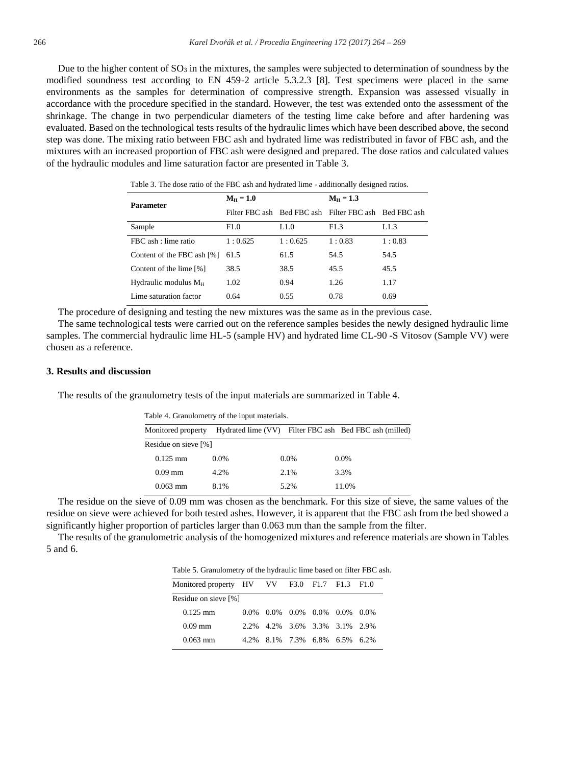Due to the higher content of  $SO_3$  in the mixtures, the samples were subjected to determination of soundness by the modified soundness test according to EN 459-2 article 5.3.2.3 [8]. Test specimens were placed in the same environments as the samples for determination of compressive strength. Expansion was assessed visually in accordance with the procedure specified in the standard. However, the test was extended onto the assessment of the shrinkage. The change in two perpendicular diameters of the testing lime cake before and after hardening was evaluated. Based on the technological tests results of the hydraulic limes which have been described above, the second step was done. The mixing ratio between FBC ash and hydrated lime was redistributed in favor of FBC ash, and the mixtures with an increased proportion of FBC ash were designed and prepared. The dose ratios and calculated values of the hydraulic modules and lime saturation factor are presented in Table 3.

| <b>Parameter</b>           | $M_H = 1.0$ |         | $M_{\rm H} = 1.3$                                     |        |  |  |
|----------------------------|-------------|---------|-------------------------------------------------------|--------|--|--|
|                            |             |         | Filter FBC ash Bed FBC ash Filter FBC ash Bed FBC ash |        |  |  |
| Sample                     | F1.0        | 1.1.0   | F1.3                                                  | L1.3   |  |  |
| FBC ash : lime ratio       | 1:0.625     | 1:0.625 | 1:0.83                                                | 1:0.83 |  |  |
| Content of the FBC ash [%] | 61.5        | 61.5    | 54.5                                                  | 54.5   |  |  |
| Content of the lime [%]    | 38.5        | 38.5    | 45.5                                                  | 45.5   |  |  |
| Hydraulic modulus $M_H$    | 1.02        | 0.94    | 1.26                                                  | 1.17   |  |  |
| Lime saturation factor     | 0.64        | 0.55    | 0.78                                                  | 0.69   |  |  |

Table 3. The dose ratio of the FBC ash and hydrated lime - additionally designed ratios.

The procedure of designing and testing the new mixtures was the same as in the previous case.

The same technological tests were carried out on the reference samples besides the newly designed hydraulic lime samples. The commercial hydraulic lime HL-5 (sample HV) and hydrated lime CL-90 -S Vitosov (Sample VV) were chosen as a reference.

#### **3. Results and discussion**

The results of the granulometry tests of the input materials are summarized in Table 4.

| Table 4. Granulometry of the input materials. |         |         |                                                        |  |  |  |  |  |  |  |
|-----------------------------------------------|---------|---------|--------------------------------------------------------|--|--|--|--|--|--|--|
| Monitored property                            |         |         | Hydrated lime (VV) Filter FBC ash Bed FBC ash (milled) |  |  |  |  |  |  |  |
| Residue on sieve [%]                          |         |         |                                                        |  |  |  |  |  |  |  |
| $0.125$ mm                                    | $0.0\%$ | $0.0\%$ | $0.0\%$                                                |  |  |  |  |  |  |  |
| $0.09$ mm                                     | 4.2%    | 2.1%    | 3.3%                                                   |  |  |  |  |  |  |  |
| $0.063$ mm                                    | 8.1%    | 5.2%    | 11.0%                                                  |  |  |  |  |  |  |  |

The residue on the sieve of 0.09 mm was chosen as the benchmark. For this size of sieve, the same values of the residue on sieve were achieved for both tested ashes. However, it is apparent that the FBC ash from the bed showed a significantly higher proportion of particles larger than 0.063 mm than the sample from the filter.

The results of the granulometric analysis of the homogenized mixtures and reference materials are shown in Tables 5 and 6.

Table 5. Granulometry of the hydraulic lime based on filter FBC ash.

| Monitored property HV VV F3.0 F1.7 F1.3 F1.0 |      |  |  |                               |  |  |  |  |  |  |
|----------------------------------------------|------|--|--|-------------------------------|--|--|--|--|--|--|
| Residue on sieve [%]                         |      |  |  |                               |  |  |  |  |  |  |
| $0.125$ mm                                   | 0.0% |  |  | $0.0\%$ 0.0% 0.0% 0.0% 0.0%   |  |  |  |  |  |  |
| $0.09$ mm                                    |      |  |  | 2.2% 4.2% 3.6% 3.3% 3.1% 2.9% |  |  |  |  |  |  |
| $0.063$ mm                                   | 4.2% |  |  | 8.1% 7.3% 6.8% 6.5% 6.2%      |  |  |  |  |  |  |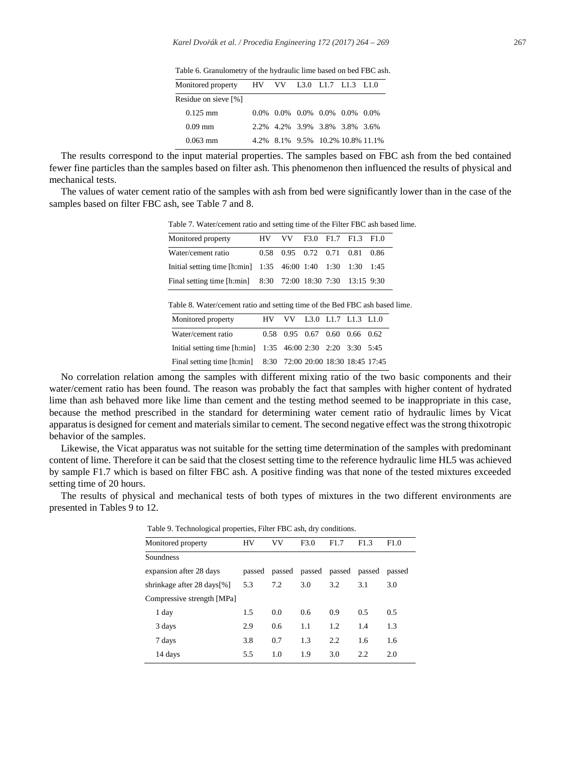Table 6. Granulometry of the hydraulic lime based on bed FBC ash.

| Monitored property   |  | HV VV L3.0 L1.7 L1.3 L1.0                               |  |
|----------------------|--|---------------------------------------------------------|--|
| Residue on sieve [%] |  |                                                         |  |
| $0.125$ mm           |  | $0.0\%$ $0.0\%$ $0.0\%$ $0.0\%$ $0.0\%$ $0.0\%$ $0.0\%$ |  |
| $0.09 \,\mathrm{mm}$ |  | 2.2% 4.2% 3.9% 3.8% 3.8% 3.6%                           |  |
| $0.063$ mm           |  | 4.2% 8.1% 9.5% 10.2% 10.8% 11.1%                        |  |

The results correspond to the input material properties. The samples based on FBC ash from the bed contained fewer fine particles than the samples based on filter ash. This phenomenon then influenced the results of physical and mechanical tests.

The values of water cement ratio of the samples with ash from bed were significantly lower than in the case of the samples based on filter FBC ash, see Table 7 and 8.

Table 7. Water/cement ratio and setting time of the Filter FBC ash based lime.

| Monitored property                                          | HV VV F3.0 F1.7 F1.3 F1.0     |  |  |  |
|-------------------------------------------------------------|-------------------------------|--|--|--|
| Water/cement ratio                                          | 0.58 0.95 0.72 0.71 0.81 0.86 |  |  |  |
| Initial setting time [h:min] 1:35 46:00 1:40 1:30 1:30 1:45 |                               |  |  |  |
| Final setting time [h:min] 8:30 72:00 18:30 7:30 13:15 9:30 |                               |  |  |  |

Table 8. Water/cement ratio and setting time of the Bed FBC ash based lime.

| Monitored property                                            | HV VV L3.0 L1.7 L1.3 L1.0     |  |  |
|---------------------------------------------------------------|-------------------------------|--|--|
| Water/cement ratio                                            | 0.58 0.95 0.67 0.60 0.66 0.62 |  |  |
| Initial setting time [h:min] 1:35 46:00 2:30 2:20 3:30 5:45   |                               |  |  |
| Final setting time [h:min] 8:30 72:00 20:00 18:30 18:45 17:45 |                               |  |  |

No correlation relation among the samples with different mixing ratio of the two basic components and their water/cement ratio has been found. The reason was probably the fact that samples with higher content of hydrated lime than ash behaved more like lime than cement and the testing method seemed to be inappropriate in this case, because the method prescribed in the standard for determining water cement ratio of hydraulic limes by Vicat apparatus is designed for cement and materials similar to cement. The second negative effect was the strong thixotropic behavior of the samples.

Likewise, the Vicat apparatus was not suitable for the setting time determination of the samples with predominant content of lime. Therefore it can be said that the closest setting time to the reference hydraulic lime HL5 was achieved by sample F1.7 which is based on filter FBC ash. A positive finding was that none of the tested mixtures exceeded setting time of 20 hours.

The results of physical and mechanical tests of both types of mixtures in the two different environments are presented in Tables 9 to 12.

| Monitored property          | HV     | <b>VV</b> | F3.0   | F <sub>1.7</sub> | F1.3   | F1.0   |
|-----------------------------|--------|-----------|--------|------------------|--------|--------|
| Soundness                   |        |           |        |                  |        |        |
| expansion after 28 days     | passed | passed    | passed | passed           | passed | passed |
| shrinkage after 28 days [%] | 5.3    | 7.2       | 3.0    | 3.2              | 3.1    | 3.0    |
| Compressive strength [MPa]  |        |           |        |                  |        |        |
| 1 day                       | 1.5    | 0.0       | 0.6    | 0.9              | 0.5    | 0.5    |
| 3 days                      | 2.9    | 0.6       | 1.1    | 1.2              | 1.4    | 1.3    |
| 7 days                      | 3.8    | 0.7       | 1.3    | 2.2              | 1.6    | 1.6    |
| 14 days                     | 5.5    | 1.0       | 1.9    | 3.0              | 2.2    | 2.0    |
|                             |        |           |        |                  |        |        |

Table 9. Technological properties, Filter FBC ash, dry conditions.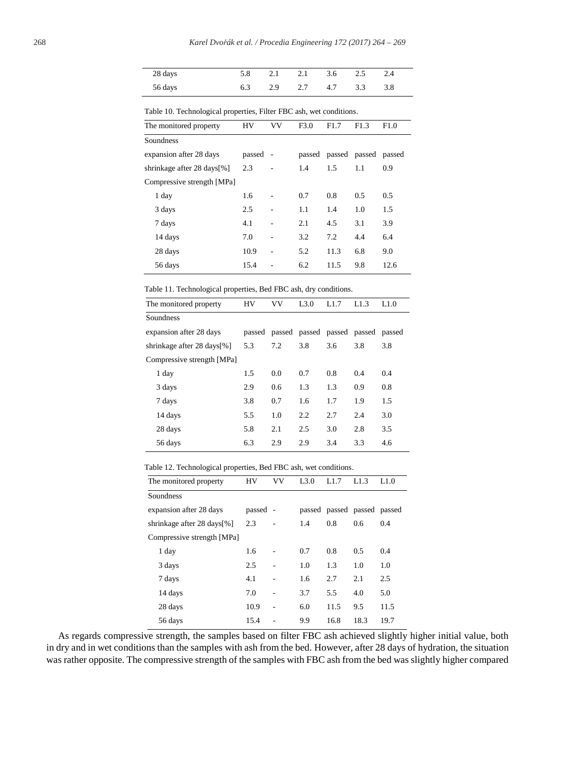| 28 days |  | 5.8 2.1 2.1 3.6 2.5 2.4 |  |  |
|---------|--|-------------------------|--|--|
| 56 days |  | 6.3 2.9 2.7 4.7 3.3 3.8 |  |  |

| <u>racio 10: 100morogram properties, 1 met 150 asii, wet conditions:</u> |        |        |        |      |               |                  |  |  |  |
|--------------------------------------------------------------------------|--------|--------|--------|------|---------------|------------------|--|--|--|
| The monitored property                                                   | HV     | VV     | F3.0   | F1.7 | F1.3          | F <sub>1.0</sub> |  |  |  |
| Soundness                                                                |        |        |        |      |               |                  |  |  |  |
| expansion after 28 days                                                  | passed | $\sim$ | passed |      | passed passed | passed           |  |  |  |
| shrinkage after 28 days [%]                                              | 2.3    |        | 1.4    | 1.5  | 1.1           | 0.9              |  |  |  |
| Compressive strength [MPa]                                               |        |        |        |      |               |                  |  |  |  |
| 1 day                                                                    | 1.6    |        | 0.7    | 0.8  | 0.5           | 0.5              |  |  |  |
| 3 days                                                                   | 2.5    |        | 1.1    | 1.4  | 1.0           | 1.5              |  |  |  |
| 7 days                                                                   | 4.1    |        | 2.1    | 4.5  | 3.1           | 3.9              |  |  |  |
| 14 days                                                                  | 7.0    |        | 3.2    | 7.2  | 4.4           | 6.4              |  |  |  |
| 28 days                                                                  | 10.9   |        | 5.2    | 11.3 | 6.8           | 9.0              |  |  |  |
| 56 days                                                                  | 15.4   |        | 6.2    | 11.5 | 9.8           | 12.6             |  |  |  |
|                                                                          |        |        |        |      |               |                  |  |  |  |

Table 10. Technological properties, Filter FBC ash, wet conditions.

Table 11. Technological properties, Bed FBC ash, dry conditions.

| 1.1.0                              |
|------------------------------------|
|                                    |
| passed passed passed passed passed |
| 3.8                                |
|                                    |
| 0.4                                |
| 0.8                                |
| 1.5                                |
| 3.0                                |
| 3.5                                |
| 4.6                                |
|                                    |

Table 12. Technological properties, Bed FBC ash, wet conditions.

| The monitored property     | HV       | VV             | L3.0 | L1.7                        | L1.3 | L1.0 |
|----------------------------|----------|----------------|------|-----------------------------|------|------|
| Soundness                  |          |                |      |                             |      |      |
| expansion after 28 days    | passed - |                |      | passed passed passed passed |      |      |
| shrinkage after 28 days[%] | 2.3      |                | 1.4  | 0.8                         | 0.6  | 0.4  |
| Compressive strength [MPa] |          |                |      |                             |      |      |
| 1 day                      | 1.6      |                | 0.7  | 0.8                         | 0.5  | 0.4  |
| 3 days                     | 2.5      | $\overline{a}$ | 1.0  | 1.3                         | 1.0  | 1.0  |
| 7 days                     | 4.1      | $\overline{a}$ | 1.6  | 2.7                         | 2.1  | 2.5  |
| 14 days                    | 7.0      | $\overline{a}$ | 3.7  | 5.5                         | 4.0  | 5.0  |
| 28 days                    | 10.9     | $\overline{a}$ | 6.0  | 11.5                        | 9.5  | 11.5 |
| 56 days                    | 15.4     |                | 9.9  | 16.8                        | 18.3 | 19.7 |

As regards compressive strength, the samples based on filter FBC ash achieved slightly higher initial value, both in dry and in wet conditions than the samples with ash from the bed. However, after 28 days of hydration, the situation was rather opposite. The compressive strength of the samples with FBC ash from the bed was slightly higher compared